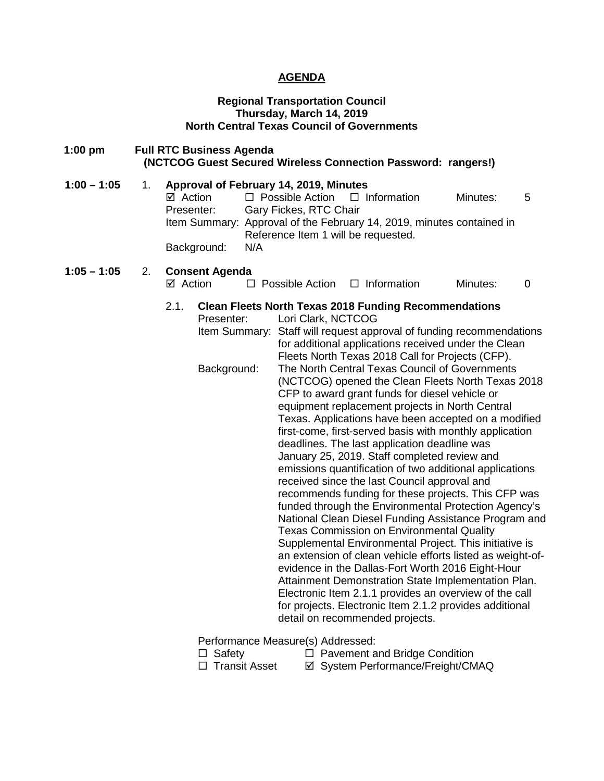### **AGENDA**

#### **Regional Transportation Council Thursday, March 14, 2019 North Central Texas Council of Governments**

**1:00 pm Full RTC Business Agenda (NCTCOG Guest Secured Wireless Connection Password: rangers!) 1:00 – 1:05** 1. **Approval of February 14, 2019, Minutes**  $\Box$  Possible Action  $\Box$  Information Minutes: 5 Presenter: Gary Fickes, RTC Chair Item Summary: Approval of the February 14, 2019, minutes contained in Reference Item 1 will be requested. Background: N/A **1:05 – 1:05** 2. **Consent Agenda**   $\boxtimes$  Action  $\Box$  Possible Action  $\Box$  Information Minutes: 0 2.1. **Clean Fleets North Texas 2018 Funding Recommendations** Presenter: Lori Clark, NCTCOG Item Summary: Staff will request approval of funding recommendations for additional applications received under the Clean Fleets North Texas 2018 Call for Projects (CFP). Background: The North Central Texas Council of Governments (NCTCOG) opened the Clean Fleets North Texas 2018 CFP to award grant funds for diesel vehicle or equipment replacement projects in North Central Texas. Applications have been accepted on a modified first-come, first-served basis with monthly application deadlines. The last application deadline was January 25, 2019. Staff completed review and emissions quantification of two additional applications received since the last Council approval and recommends funding for these projects. This CFP was funded through the Environmental Protection Agency's National Clean Diesel Funding Assistance Program and Texas Commission on Environmental Quality Supplemental Environmental Project. This initiative is an extension of clean vehicle efforts listed as weight-ofevidence in the Dallas-Fort Worth 2016 Eight-Hour Attainment Demonstration State Implementation Plan. Electronic Item 2.1.1 provides an overview of the call for projects. Electronic Item 2.1.2 provides additional detail on recommended projects. Performance Measure(s) Addressed:

- 
- □ Safety □ Pavement and Bridge Condition<br>□ Transit Asset □ Svstem Performance/Freight/CM  $\boxtimes$  System Performance/Freight/CMAQ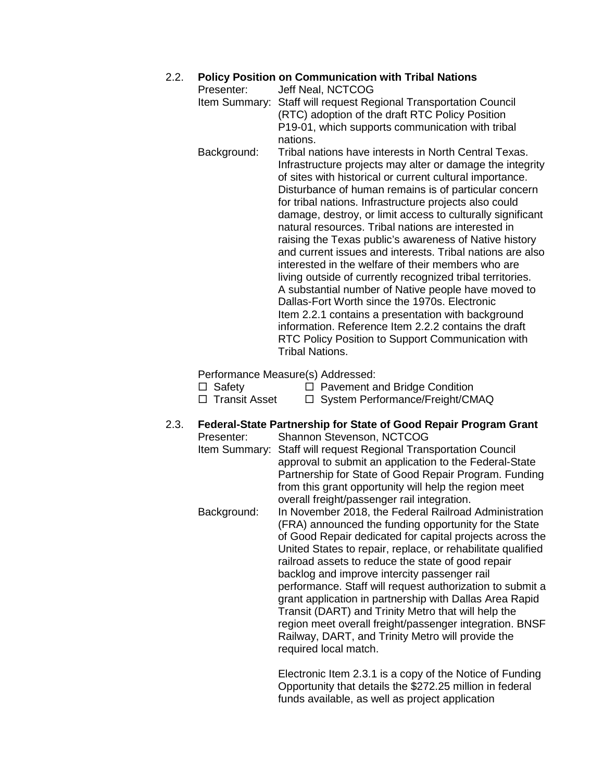## 2.2. **Policy Position on Communication with Tribal Nations**

- Presenter: Jeff Neal, NCTCOG Item Summary: Staff will request Regional Transportation Council (RTC) adoption of the draft RTC Policy Position P19-01, which supports communication with tribal nations.
- Background: Tribal nations have interests in North Central Texas. Infrastructure projects may alter or damage the integrity of sites with historical or current cultural importance. Disturbance of human remains is of particular concern for tribal nations. Infrastructure projects also could damage, destroy, or limit access to culturally significant natural resources. Tribal nations are interested in raising the Texas public's awareness of Native history and current issues and interests. Tribal nations are also interested in the welfare of their members who are living outside of currently recognized tribal territories. A substantial number of Native people have moved to Dallas-Fort Worth since the 1970s. Electronic Item 2.2.1 contains a presentation with background information. Reference Item 2.2.2 contains the draft RTC Policy Position to Support Communication with Tribal Nations.

Performance Measure(s) Addressed:

- $\Box$  Safety  $\Box$  Pavement and Bridge Condition  $\Box$  Transit Asset  $\Box$  System Performance/Freight/CMAQ
- 2.3. **Federal-State Partnership for State of Good Repair Program Grant**
	- Presenter: Shannon Stevenson, NCTCOG Item Summary: Staff will request Regional Transportation Council approval to submit an application to the Federal-State Partnership for State of Good Repair Program. Funding from this grant opportunity will help the region meet overall freight/passenger rail integration. Background: In November 2018, the Federal Railroad Administration (FRA) announced the funding opportunity for the State of Good Repair dedicated for capital projects across the United States to repair, replace, or rehabilitate qualified railroad assets to reduce the state of good repair backlog and improve intercity passenger rail performance. Staff will request authorization to submit a grant application in partnership with Dallas Area Rapid Transit (DART) and Trinity Metro that will help the region meet overall freight/passenger integration. BNSF Railway, DART, and Trinity Metro will provide the required local match.

Electronic Item 2.3.1 is a copy of the Notice of Funding Opportunity that details the \$272.25 million in federal funds available, as well as project application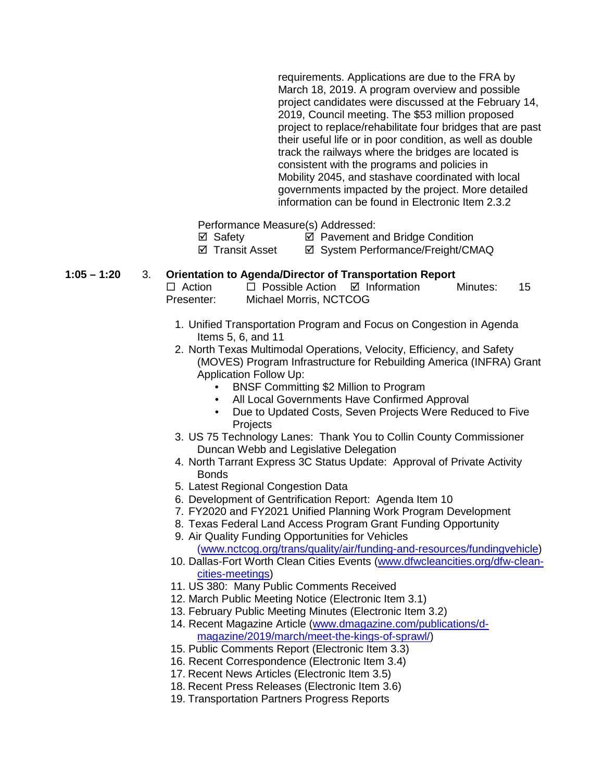requirements. Applications are due to the FRA by March 18, 2019. A program overview and possible project candidates were discussed at the February 14, 2019, Council meeting. The \$53 million proposed project to replace/rehabilitate four bridges that are past their useful life or in poor condition, as well as double track the railways where the bridges are located is consistent with the programs and policies in Mobility 2045, and stashave coordinated with local governments impacted by the project. More detailed information can be found in Electronic Item 2.3.2

Performance Measure(s) Addressed:

 $\boxtimes$  Safety  $\boxtimes$  Pavement and Bridge Condition

⊠ Transit Asset **and System Performance/Freight/CMAQ** 

# **1:05 – 1:20** 3. **Orientation to Agenda/Director of Transportation Report**

 $\Box$  Possible Action  $\Box$  Information Minutes: 15 Presenter: Michael Morris, NCTCOG

- 1. Unified Transportation Program and Focus on Congestion in Agenda Items 5, 6, and 11
- 2. North Texas Multimodal Operations, Velocity, Efficiency, and Safety (MOVES) Program Infrastructure for Rebuilding America (INFRA) Grant Application Follow Up:
	- BNSF Committing \$2 Million to Program
	- All Local Governments Have Confirmed Approval
	- Due to Updated Costs, Seven Projects Were Reduced to Five **Projects**
- 3. US 75 Technology Lanes: Thank You to Collin County Commissioner Duncan Webb and Legislative Delegation
- 4. North Tarrant Express 3C Status Update: Approval of Private Activity **Bonds**
- 5. Latest Regional Congestion Data
- 6. Development of Gentrification Report: Agenda Item 10
- 7. FY2020 and FY2021 Unified Planning Work Program Development
- 8. Texas Federal Land Access Program Grant Funding Opportunity
- 9. Air Quality Funding Opportunities for Vehicles [\(www.nctcog.org/trans/quality/air/funding-and-resources/fundingvehicle\)](http://www.nctcog.org/trans/quality/air/funding-and-resources/fundingvehicle)
- 10. Dallas-Fort Worth Clean Cities Events [\(www.dfwcleancities.org/dfw-clean](http://www.dfwcleancities.org/dfw-clean-cities-meetings)[cities-meetings\)](http://www.dfwcleancities.org/dfw-clean-cities-meetings)
- 11. US 380: Many Public Comments Received
- 12. March Public Meeting Notice (Electronic Item 3.1)
- 13. February Public Meeting Minutes (Electronic Item 3.2)
- 14. Recent Magazine Article [\(www.dmagazine.com/publications/d](http://www.dmagazine.com/publications/d-magazine/2019/march/meet-the-kings-of-sprawl/)[magazine/2019/march/meet-the-kings-of-sprawl/\)](http://www.dmagazine.com/publications/d-magazine/2019/march/meet-the-kings-of-sprawl/)
- 15. Public Comments Report (Electronic Item 3.3)
- 16. Recent Correspondence (Electronic Item 3.4)
- 17. Recent News Articles (Electronic Item 3.5)
- 18. Recent Press Releases (Electronic Item 3.6)
- 19. Transportation Partners Progress Reports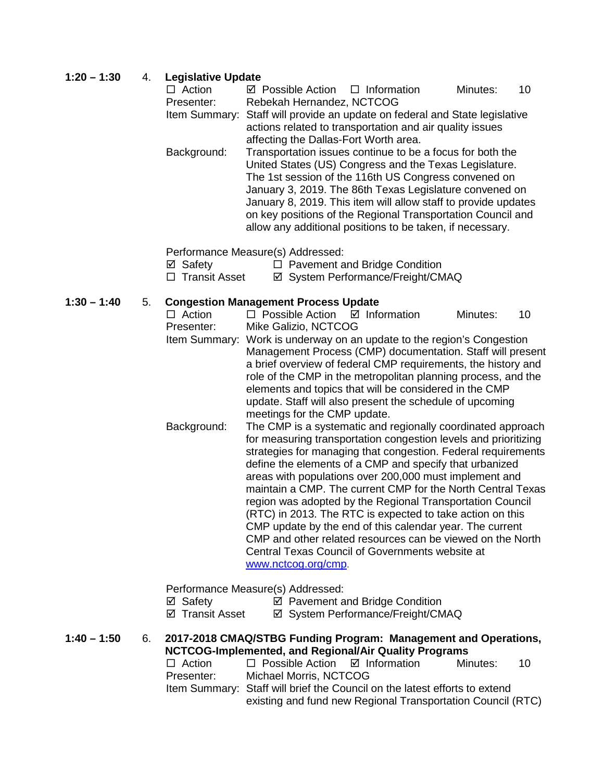### **1:20 – 1:30** 4. **Legislative Update**

| $\Box$ Action | $\boxtimes$ Possible Action $\Box$ Information                              |                                                           | Minutes: | $-10$ |
|---------------|-----------------------------------------------------------------------------|-----------------------------------------------------------|----------|-------|
| Presenter:    | Rebekah Hernandez, NCTCOG                                                   |                                                           |          |       |
|               | Item Summary: Staff will provide an update on federal and State legislative |                                                           |          |       |
|               |                                                                             | actions related to transportation and air quality issues  |          |       |
|               | affecting the Dallas-Fort Worth area.                                       |                                                           |          |       |
| Background:   |                                                                             | Transportation issues continue to be a focus for both the |          |       |
|               |                                                                             | United States (US) Congress and the Texas Legislature.    |          |       |

The 1st session of the 116th US Congress convened on January 3, 2019. The 86th Texas Legislature convened on January 8, 2019. This item will allow staff to provide updates on key positions of the Regional Transportation Council and allow any additional positions to be taken, if necessary.

Performance Measure(s) Addressed:

| ⊠ Safety |  |  |  | $\Box$ Pavement and Bridge Condition |  |  |  |  |
|----------|--|--|--|--------------------------------------|--|--|--|--|
|          |  |  |  |                                      |  |  |  |  |

□ Transit Asset  $\Box$  System Performance/Freight/CMAQ

# **1:30 – 1:40** 5. **Congestion Management Process Update**

 $\square$  Possible Action  $\square$  Information Minutes: 10 Presenter: Mike Galizio, NCTCOG Item Summary: Work is underway on an update to the region's Congestion Management Process (CMP) documentation. Staff will present a brief overview of federal CMP requirements, the history and role of the CMP in the metropolitan planning process, and the elements and topics that will be considered in the CMP update. Staff will also present the schedule of upcoming meetings for the CMP update. Background: The CMP is a systematic and regionally coordinated approach for measuring transportation congestion levels and prioritizing strategies for managing that congestion. Federal requirements define the elements of a CMP and specify that urbanized

areas with populations over 200,000 must implement and maintain a CMP. The current CMP for the North Central Texas region was adopted by the Regional Transportation Council (RTC) in 2013. The RTC is expected to take action on this CMP update by the end of this calendar year. The current CMP and other related resources can be viewed on the North Central Texas Council of Governments website at [www.nctcog.org/cmp.](http://www.nctcog.org/cmp)

Performance Measure(s) Addressed:

- $\boxtimes$  Safety  $\boxtimes$  Pavement and Bridge Condition
- ⊠ Transit Asset <br> **Ø System Performance/Freight/CMAQ**

**1:40 – 1:50** 6. **2017-2018 CMAQ/STBG Funding Program: Management and Operations, NCTCOG-Implemented, and Regional/Air Quality Programs**

| $\Box$ Action | $\Box$ Possible Action $\Box$ Information                                  | Minutes: | 10 |
|---------------|----------------------------------------------------------------------------|----------|----|
| Presenter:    | Michael Morris, NCTCOG                                                     |          |    |
|               | Item Summary: Staff will brief the Council on the latest efforts to extend |          |    |
|               | existing and fund new Regional Transportation Council (RTC)                |          |    |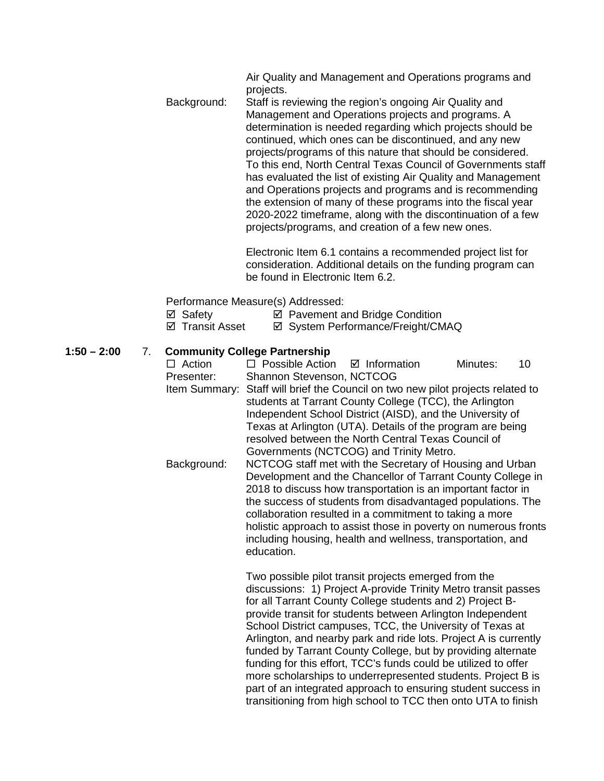Air Quality and Management and Operations programs and projects.

Background: Staff is reviewing the region's ongoing Air Quality and Management and Operations projects and programs. A determination is needed regarding which projects should be continued, which ones can be discontinued, and any new projects/programs of this nature that should be considered. To this end, North Central Texas Council of Governments staff has evaluated the list of existing Air Quality and Management and Operations projects and programs and is recommending the extension of many of these programs into the fiscal year 2020-2022 timeframe, along with the discontinuation of a few projects/programs, and creation of a few new ones.

> Electronic Item 6.1 contains a recommended project list for consideration. Additional details on the funding program can be found in Electronic Item 6.2.

Performance Measure(s) Addressed:

- $\boxtimes$  Safety  $\boxtimes$  Pavement and Bridge Condition
- ⊠ Transit Asset **and System Performance/Freight/CMAQ**

### **1:50 – 2:00** 7. **Community College Partnership**

 $\Box$  Action  $\Box$  Possible Action  $\Box$  Information Minutes: 10 Presenter: Shannon Stevenson, NCTCOG Item Summary: Staff will brief the Council on two new pilot projects related to students at Tarrant County College (TCC), the Arlington Independent School District (AISD), and the University of Texas at Arlington (UTA). Details of the program are being resolved between the North Central Texas Council of Governments (NCTCOG) and Trinity Metro. Background: NCTCOG staff met with the Secretary of Housing and Urban Development and the Chancellor of Tarrant County College in 2018 to discuss how transportation is an important factor in the success of students from disadvantaged populations. The collaboration resulted in a commitment to taking a more holistic approach to assist those in poverty on numerous fronts including housing, health and wellness, transportation, and education.

Two possible pilot transit projects emerged from the discussions: 1) Project A-provide Trinity Metro transit passes for all Tarrant County College students and 2) Project Bprovide transit for students between Arlington Independent School District campuses, TCC, the University of Texas at Arlington, and nearby park and ride lots. Project A is currently funded by Tarrant County College, but by providing alternate funding for this effort, TCC's funds could be utilized to offer more scholarships to underrepresented students. Project B is part of an integrated approach to ensuring student success in transitioning from high school to TCC then onto UTA to finish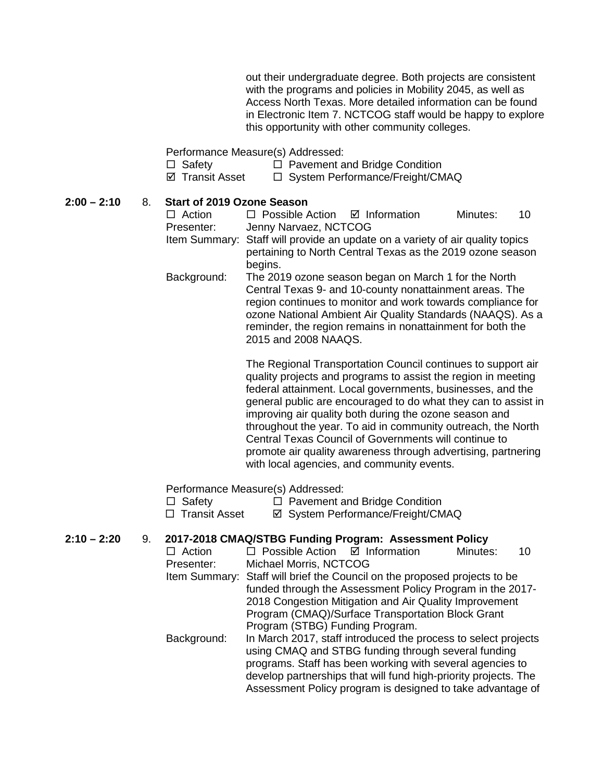out their undergraduate degree. Both projects are consistent with the programs and policies in Mobility 2045, as well as Access North Texas. More detailed information can be found in Electronic Item 7. NCTCOG staff would be happy to explore this opportunity with other community colleges.

Performance Measure(s) Addressed:

- $\Box$  Safety  $\Box$  Pavement and Bridge Condition
- $\boxtimes$  Transit Asset  $\Box$  System Performance/Freight/CMAQ

| $2:00 - 2:10$ |  |  | 8. Start of 2019 Ozone Season |
|---------------|--|--|-------------------------------|
|---------------|--|--|-------------------------------|

| $\Box$ Action<br>Presenter: | $\Box$ Possible Action $\Box$ Information<br>Jenny Narvaez, NCTCOG |                                                                                                                                                                                                                                                                                                            | Minutes: | 10 |
|-----------------------------|--------------------------------------------------------------------|------------------------------------------------------------------------------------------------------------------------------------------------------------------------------------------------------------------------------------------------------------------------------------------------------------|----------|----|
|                             | begins.                                                            | Item Summary: Staff will provide an update on a variety of air quality topics<br>pertaining to North Central Texas as the 2019 ozone season                                                                                                                                                                |          |    |
| Background:                 | 2015 and 2008 NAAQS.                                               | The 2019 ozone season began on March 1 for the North<br>Central Texas 9- and 10-county nonattainment areas. The<br>region continues to monitor and work towards compliance for<br>ozone National Ambient Air Quality Standards (NAAQS). As a<br>reminder, the region remains in nonattainment for both the |          |    |

The Regional Transportation Council continues to support air quality projects and programs to assist the region in meeting federal attainment. Local governments, businesses, and the general public are encouraged to do what they can to assist in improving air quality both during the ozone season and throughout the year. To aid in community outreach, the North Central Texas Council of Governments will continue to promote air quality awareness through advertising, partnering with local agencies, and community events.

Performance Measure(s) Addressed:

 $\Box$  Safety  $\Box$  Pavement and Bridge Condition

□ Transit Asset <br>  $\Box$  Transit Asset <br>  $\Box$  System Performance/Freight/CMAQ

### **2:10 – 2:20** 9. **2017-2018 CMAQ/STBG Funding Program: Assessment Policy**

| $\Box$ Action | $\Box$ Possible Action $\Box$ Information                                 |                                                   | Minutes: | 10 |  |  |  |  |  |
|---------------|---------------------------------------------------------------------------|---------------------------------------------------|----------|----|--|--|--|--|--|
| Presenter:    | Michael Morris, NCTCOG                                                    |                                                   |          |    |  |  |  |  |  |
|               | Item Summary: Staff will brief the Council on the proposed projects to be |                                                   |          |    |  |  |  |  |  |
|               | funded through the Assessment Policy Program in the 2017-                 |                                                   |          |    |  |  |  |  |  |
|               | 2018 Congestion Mitigation and Air Quality Improvement                    |                                                   |          |    |  |  |  |  |  |
|               |                                                                           | Program (CMAQ)/Surface Transportation Block Grant |          |    |  |  |  |  |  |
|               | Program (STBG) Funding Program.                                           |                                                   |          |    |  |  |  |  |  |
| Background:   | In March 2017, staff introduced the process to select projects            |                                                   |          |    |  |  |  |  |  |
|               | using CMAQ and STBG funding through several funding                       |                                                   |          |    |  |  |  |  |  |
|               | programs. Staff has been working with several agencies to                 |                                                   |          |    |  |  |  |  |  |
|               | develop partnerships that will fund high-priority projects. The           |                                                   |          |    |  |  |  |  |  |
|               | Assessment Policy program is designed to take advantage of                |                                                   |          |    |  |  |  |  |  |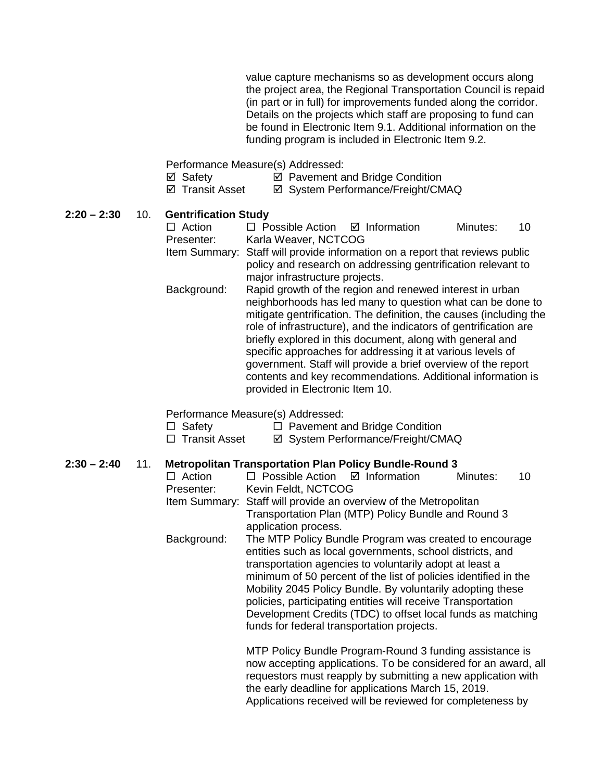value capture mechanisms so as development occurs along the project area, the Regional Transportation Council is repaid (in part or in full) for improvements funded along the corridor. Details on the projects which staff are proposing to fund can be found in Electronic Item 9.1. Additional information on the funding program is included in Electronic Item 9.2.

Performance Measure(s) Addressed:

- ⊠ Safety **Detable Pavement and Bridge Condition**<br> **Detable Part Performance/Freight/CM**
- **Ø System Performance/Freight/CMAQ**

#### **2:20 – 2:30** 10. **Gentrification Study**

| $\Box$ Action | $\Box$ Possible Action $\Box$ Information                    |                                                                              | Minutes: | 10 |  |  |  |
|---------------|--------------------------------------------------------------|------------------------------------------------------------------------------|----------|----|--|--|--|
| Presenter:    |                                                              | Karla Weaver, NCTCOG                                                         |          |    |  |  |  |
|               |                                                              | Item Summary: Staff will provide information on a report that reviews public |          |    |  |  |  |
|               | policy and research on addressing gentrification relevant to |                                                                              |          |    |  |  |  |
|               | major infrastructure projects.                               |                                                                              |          |    |  |  |  |

Background: Rapid growth of the region and renewed interest in urban neighborhoods has led many to question what can be done to mitigate gentrification. The definition, the causes (including the role of infrastructure), and the indicators of gentrification are briefly explored in this document, along with general and specific approaches for addressing it at various levels of government. Staff will provide a brief overview of the report contents and key recommendations. Additional information is provided in Electronic Item 10.

# Performance Measure(s) Addressed:<br>□ Safetv □ Pavement a

Safety Pavement and Bridge Condition

**Ø System Performance/Freight/CMAQ** 

#### **2:30 – 2:40** 11. **Metropolitan Transportation Plan Policy Bundle-Round 3**

| $\Box$ Action | $\Box$ Possible Action $\Box$ Information                        |  | Minutes: | 10 |
|---------------|------------------------------------------------------------------|--|----------|----|
| Presenter:    | Kevin Feldt, NCTCOG                                              |  |          |    |
|               | Item Summary: Staff will provide an overview of the Metropolitan |  |          |    |
|               | Transportation Plan (MTP) Policy Bundle and Round 3              |  |          |    |
|               | application process.                                             |  |          |    |
| Background:   | The MTP Policy Bundle Program was created to encourage           |  |          |    |
|               | entities such as local governments, school districts, and        |  |          |    |
|               | transportation agencies to voluntarily adopt at least a          |  |          |    |
|               | minimum of 50 percent of the list of policies identified in the  |  |          |    |
|               | Mobility 2045 Policy Bundle. By voluntarily adopting these       |  |          |    |
|               | policies, participating entities will receive Transportation     |  |          |    |
|               | Development Credits (TDC) to offset local funds as matching      |  |          |    |
|               | funds for federal transportation projects.                       |  |          |    |
|               |                                                                  |  |          |    |
|               | MTP Policy Bundle Program-Round 3 funding assistance is          |  |          |    |
|               | now accepting applications. To be considered for an award, all   |  |          |    |
|               | requestors must reapply by submitting a new application with     |  |          |    |
|               | the early deadline for applications March 15, 2019.              |  |          |    |

Applications received will be reviewed for completeness by